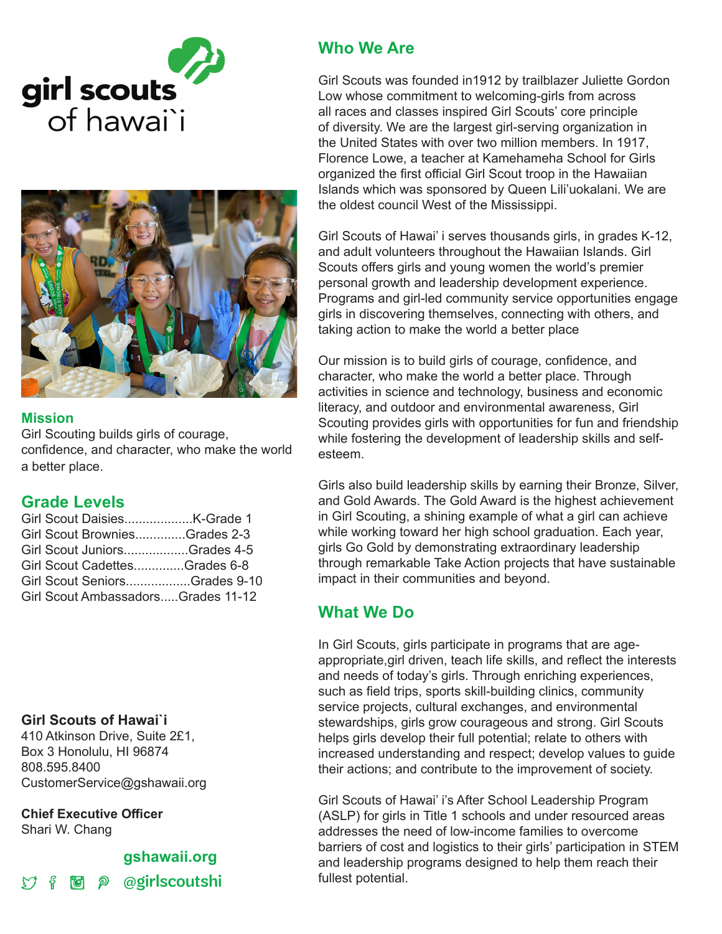

#### **Mission**

Girl Scouting builds girls of courage, confidence, and character, who make the world a better place.

# **Grade Levels**

| Girl Scout BrowniesGrades 2-3      |  |
|------------------------------------|--|
| Girl Scout JuniorsGrades 4-5       |  |
| Girl Scout CadettesGrades 6-8      |  |
| Girl Scout SeniorsGrades 9-10      |  |
| Girl Scout AmbassadorsGrades 11-12 |  |
|                                    |  |

## **Girl Scouts of Hawai`i**

410 Atkinson Drive, Suite 2£1, Box 3 Honolulu, HI 96874 808.595.8400 CustomerService@gshawaii.org

**Chief Executive Officer**

Shari W. Chang

# **gshawaii.org to** p @girlscoutshi

# **Who We Are**

Girl Scouts was founded in1912 by trailblazer Juliette Gordon Low whose commitment to welcoming-girls from across all races and classes inspired Girl Scouts' core principle of diversity. We are the largest girl-serving organization in the United States with over two million members. In 1917, Florence Lowe, a teacher at Kamehameha School for Girls organized the first official Girl Scout troop in the Hawaiian Islands which was sponsored by Queen Lili'uokalani. We are the oldest council West of the Mississippi.

Girl Scouts of Hawai' i serves thousands girls, in grades K-12, and adult volunteers throughout the Hawaiian Islands. Girl Scouts offers girls and young women the world's premier personal growth and leadership development experience. Programs and girl-led community service opportunities engage girls in discovering themselves, connecting with others, and taking action to make the world a better place

Our mission is to build girls of courage, confidence, and character, who make the world a better place. Through activities in science and technology, business and economic literacy, and outdoor and environmental awareness, Girl Scouting provides girls with opportunities for fun and friendship while fostering the development of leadership skills and selfesteem.

Girls also build leadership skills by earning their Bronze, Silver, and Gold Awards. The Gold Award is the highest achievement in Girl Scouting, a shining example of what a girl can achieve while working toward her high school graduation. Each year, girls Go Gold by demonstrating extraordinary leadership through remarkable Take Action projects that have sustainable impact in their communities and beyond.

# **What We Do**

In Girl Scouts, girls participate in programs that are ageappropriate,girl driven, teach life skills, and reflect the interests and needs of today's girls. Through enriching experiences, such as field trips, sports skill-building clinics, community service projects, cultural exchanges, and environmental stewardships, girls grow courageous and strong. Girl Scouts helps girls develop their full potential; relate to others with increased understanding and respect; develop values to guide their actions; and contribute to the improvement of society.

Girl Scouts of Hawai' i's After School Leadership Program (ASLP) for girls in Title 1 schools and under resourced areas addresses the need of low-income families to overcome barriers of cost and logistics to their girls' participation in STEM and leadership programs designed to help them reach their fullest potential.